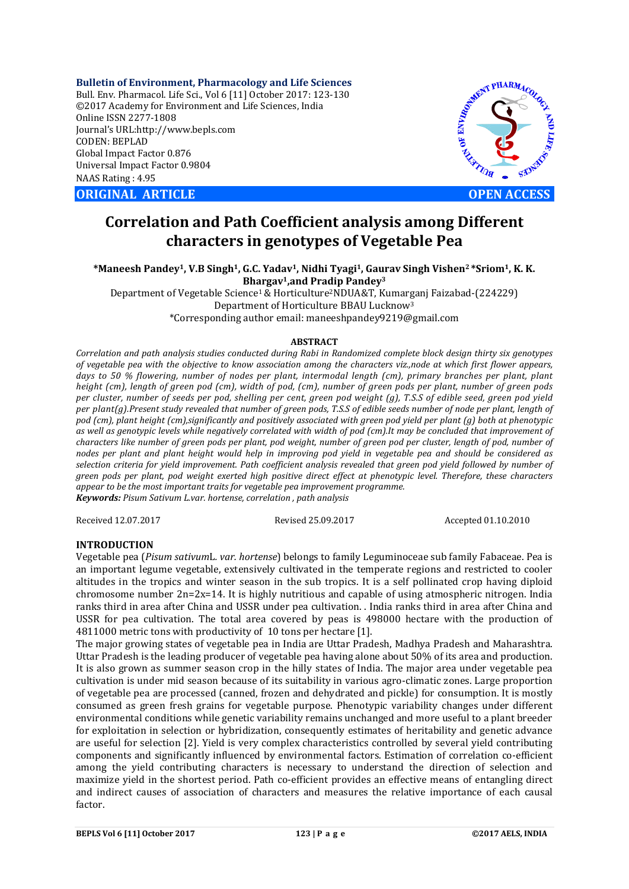**Bulletin of Environment, Pharmacology and Life Sciences** Bull. Env. Pharmacol. Life Sci., Vol 6 [11] October 2017: 123-130 ©2017 Academy for Environment and Life Sciences, India Online ISSN 2277-1808 Journal's URL:http://www.bepls.com CODEN: BEPLAD Global Impact Factor 0.876 Universal Impact Factor 0.9804 NAAS Rating : 4.95

**ORIGINAL ARTICLE OPEN ACCESS** 



## **Correlation and Path Coefficient analysis among Different characters in genotypes of Vegetable Pea**

**\*Maneesh Pandey1, V.B Singh1, G.C. Yadav1, Nidhi Tyagi1, Gaurav Singh Vishen2 \*Sriom1, K. K. Bhargav1,and Pradip Pandey3**

Department of Vegetable Science1& Horticulture2NDUA&T, Kumarganj Faizabad-(224229) Department of Horticulture BBAU Lucknow3 \*Corresponding author email: maneeshpandey9219@gmail.com

## **ABSTRACT**

*Correlation and path analysis studies conducted during Rabi in Randomized complete block design thirty six genotypes of vegetable pea with the objective to know association among the characters viz.,node at which first flower appears, days to 50 % flowering, number of nodes per plant, intermodal length (cm), primary branches per plant, plant height (cm), length of green pod (cm), width of pod, (cm), number of green pods per plant, number of green pods per cluster, number of seeds per pod, shelling per cent, green pod weight (g), T.S.S of edible seed, green pod yield per plant(g).Present study revealed that number of green pods, T.S.S of edible seeds number of node per plant, length of pod (cm), plant height (cm),significantly and positively associated with green pod yield per plant (g) both at phenotypic as well as genotypic levels while negatively correlated with width of pod (cm).It may be concluded that improvement of characters like number of green pods per plant, pod weight, number of green pod per cluster, length of pod, number of nodes per plant and plant height would help in improving pod yield in vegetable pea and should be considered as selection criteria for yield improvement. Path coefficient analysis revealed that green pod yield followed by number of green pods per plant, pod weight exerted high positive direct effect at phenotypic level. Therefore, these characters appear to be the most important traits for vegetable pea improvement programme. Keywords: Pisum Sativum L.var. hortense, correlation , path analysis*

Received 12.07.2017 Revised 25.09.2017 Accepted 01.10.2010

## **INTRODUCTION**

Vegetable pea (*Pisum sativum*L*. var. hortense*) belongs to family Leguminoceae sub family Fabaceae. Pea is an important legume vegetable, extensively cultivated in the temperate regions and restricted to cooler altitudes in the tropics and winter season in the sub tropics. It is a self pollinated crop having diploid chromosome number 2n=2x=14. It is highly nutritious and capable of using atmospheric nitrogen. India ranks third in area after China and USSR under pea cultivation. . India ranks third in area after China and USSR for pea cultivation. The total area covered by peas is 498000 hectare with the production of 4811000 metric tons with productivity of 10 tons per hectare [1].

The major growing states of vegetable pea in India are Uttar Pradesh, Madhya Pradesh and Maharashtra. Uttar Pradesh is the leading producer of vegetable pea having alone about 50% of its area and production. It is also grown as summer season crop in the hilly states of India. The major area under vegetable pea cultivation is under mid season because of its suitability in various agro-climatic zones. Large proportion of vegetable pea are processed (canned, frozen and dehydrated and pickle) for consumption. It is mostly consumed as green fresh grains for vegetable purpose. Phenotypic variability changes under different environmental conditions while genetic variability remains unchanged and more useful to a plant breeder for exploitation in selection or hybridization, consequently estimates of heritability and genetic advance are useful for selection [2]. Yield is very complex characteristics controlled by several yield contributing components and significantly influenced by environmental factors. Estimation of correlation co-efficient among the yield contributing characters is necessary to understand the direction of selection and maximize yield in the shortest period. Path co-efficient provides an effective means of entangling direct and indirect causes of association of characters and measures the relative importance of each causal factor.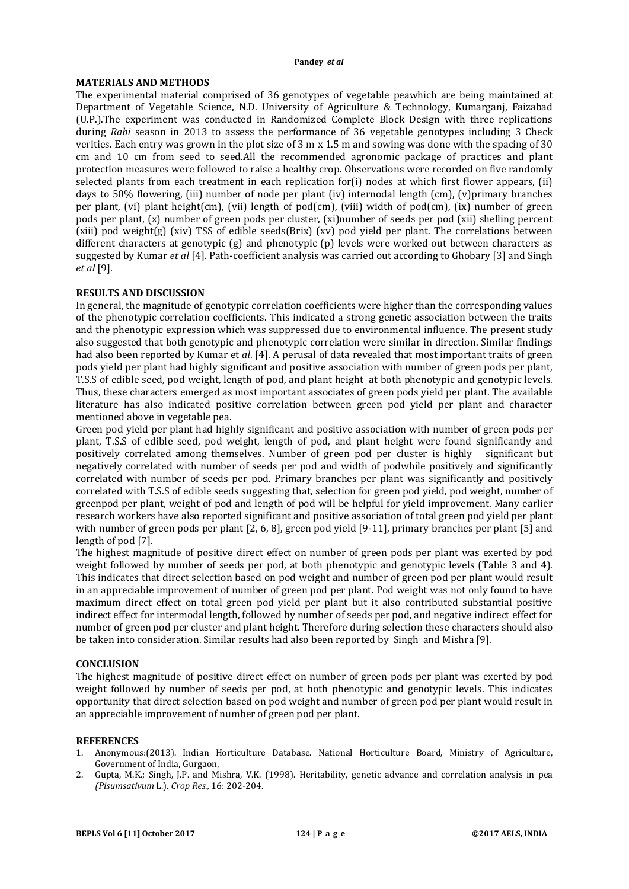## **MATERIALS AND METHODS**

The experimental material comprised of 36 genotypes of vegetable peawhich are being maintained at Department of Vegetable Science, N.D. University of Agriculture & Technology, Kumarganj, Faizabad (U.P.).The experiment was conducted in Randomized Complete Block Design with three replications during *Rabi* season in 2013 to assess the performance of 36 vegetable genotypes including 3 Check verities. Each entry was grown in the plot size of 3 m x 1.5 m and sowing was done with the spacing of 30 cm and 10 cm from seed to seed.All the recommended agronomic package of practices and plant protection measures were followed to raise a healthy crop. Observations were recorded on five randomly selected plants from each treatment in each replication for(i) nodes at which first flower appears, (ii) days to 50% flowering, (iii) number of node per plant (iv) internodal length (cm), (v)primary branches per plant, (vi) plant height(cm), (vii) length of pod(cm), (viii) width of pod(cm), (ix) number of green pods per plant, (x) number of green pods per cluster, (xi)number of seeds per pod (xii) shelling percent (xiii) pod weight(g) (xiv) TSS of edible seeds(Brix) (xv) pod yield per plant. The correlations between different characters at genotypic (g) and phenotypic (p) levels were worked out between characters as suggested by Kumar *et al* [4]. Path-coefficient analysis was carried out according to Ghobary [3] and Singh *et al* [9].

## **RESULTS AND DISCUSSION**

In general, the magnitude of genotypic correlation coefficients were higher than the corresponding values of the phenotypic correlation coefficients. This indicated a strong genetic association between the traits and the phenotypic expression which was suppressed due to environmental influence. The present study also suggested that both genotypic and phenotypic correlation were similar in direction. Similar findings had also been reported by Kumar et *al*. [4]. A perusal of data revealed that most important traits of green pods yield per plant had highly significant and positive association with number of green pods per plant, T.S.S of edible seed, pod weight, length of pod, and plant height at both phenotypic and genotypic levels. Thus, these characters emerged as most important associates of green pods yield per plant. The available literature has also indicated positive correlation between green pod yield per plant and character mentioned above in vegetable pea.

Green pod yield per plant had highly significant and positive association with number of green pods per plant, T.S.S of edible seed, pod weight, length of pod, and plant height were found significantly and positively correlated among themselves. Number of green pod per cluster is highly significant but negatively correlated with number of seeds per pod and width of podwhile positively and significantly correlated with number of seeds per pod. Primary branches per plant was significantly and positively correlated with T.S.S of edible seeds suggesting that, selection for green pod yield, pod weight, number of greenpod per plant, weight of pod and length of pod will be helpful for yield improvement. Many earlier research workers have also reported significant and positive association of total green pod yield per plant with number of green pods per plant [2, 6, 8], green pod yield [9-11], primary branches per plant [5] and length of pod [7].

The highest magnitude of positive direct effect on number of green pods per plant was exerted by pod weight followed by number of seeds per pod, at both phenotypic and genotypic levels (Table 3 and 4). This indicates that direct selection based on pod weight and number of green pod per plant would result in an appreciable improvement of number of green pod per plant. Pod weight was not only found to have maximum direct effect on total green pod yield per plant but it also contributed substantial positive indirect effect for intermodal length, followed by number of seeds per pod, and negative indirect effect for number of green pod per cluster and plant height. Therefore during selection these characters should also be taken into consideration. Similar results had also been reported by Singh and Mishra [9].

## **CONCLUSION**

The highest magnitude of positive direct effect on number of green pods per plant was exerted by pod weight followed by number of seeds per pod, at both phenotypic and genotypic levels. This indicates opportunity that direct selection based on pod weight and number of green pod per plant would result in an appreciable improvement of number of green pod per plant.

#### **REFERENCES**

- 1. Anonymous:(2013). Indian Horticulture Database. National Horticulture Board, Ministry of Agriculture, Government of India, Gurgaon,
- 2. Gupta, M.K.; Singh, J.P. and Mishra, V.K. (1998). Heritability, genetic advance and correlation analysis in pea *(Pisumsativum* L.). *Crop Res.,* 16: 202-204.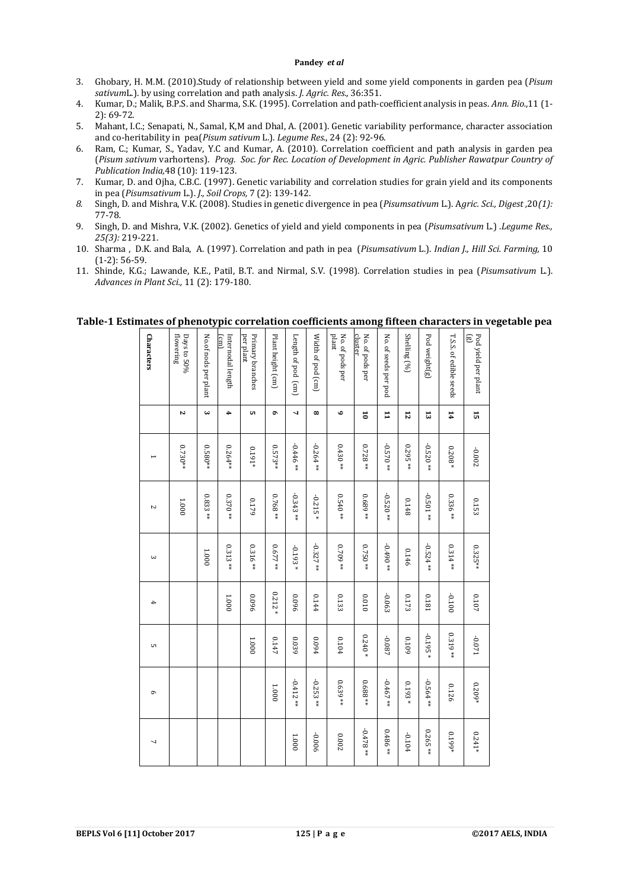- 3. Ghobary, H. M.M. (2010).Study of relationship between yield and some yield components in garden pea (*Pisum sativum*L.). by using correlation and path analysis. *J. Agric. Res.,* 36:351.
- 4. Kumar, D.; Malik, B.P.S. and Sharma, S.K. (1995). Correlation and path-coefficient analysis in peas. *Ann. Bio.,*11 (1- 2): 69-72.
- 5. Mahant, I.C.; Senapati, N., Samal, K,M and Dhal, A. (2001). Genetic variability performance, character association and co-heritability in pea(*Pisum sativum* L.). *Legume Res.*, 24 (2): 92-96.
- 6. Ram, C.; Kumar, S., Yadav, Y.C and Kumar, A. (2010). Correlation coefficient and path analysis in garden pea (*Pisum sativum* varhortens). *Prog. Soc. for Rec. Location of Development in Agric. Publisher Rawatpur Country of Publication India,*48 (10): 119-123.
- 7. Kumar, D. and Ojha, C.B.C. (1997). Genetic variability and correlation studies for grain yield and its components in pea (*Pisumsativum* L.). *J., Soil Crops,* 7 (2): 139-142.
- *8.* Singh, D. and Mishra, V.K. (2008). Studies in genetic divergence in pea (*Pisumsativum* L.). A*gric. Sci., Digest ,*20*(1):*  77-78*.*
- 9. Singh, D. and Mishra, V.K. (2002). Genetics of yield and yield components in pea (*Pisumsativum* L.) .*Legume Res., 25(3):* 219-221.
- 10. Sharma , D.K. and Bala, A. (1997). Correlation and path in pea (*Pisumsativum* L.). *Indian J., Hill Sci. Farming,* 10 (1-2): 56-59.
- 11. Shinde, K.G.; Lawande, K.E., Patil, B.T. and Nirmal, S.V. (1998). Correlation studies in pea (*Pisumsativum* L.). *Advances in Plant Sci.,* 11 (2): 179-180.

| <b>Characters</b> | flowering<br>Days to 50% | No.of nods per plant | Internodal length<br>$\text{cm}$ | per plant<br>Primary branches | Plant height (cm) | Length of pod (cm) | Width of pod (cm) | plant<br>No. of pods per | cluster<br>No. of pods per | No. of seeds per pod | Shelling (%)    | Pod weight(g) | T.S.S. of edible seeds | ලි<br>Pod yield per plant |
|-------------------|--------------------------|----------------------|----------------------------------|-------------------------------|-------------------|--------------------|-------------------|--------------------------|----------------------------|----------------------|-----------------|---------------|------------------------|---------------------------|
|                   | Z                        | ω                    | 4                                | c                             | ۰                 | ┙                  | $\infty$          | ه                        | 5                          | $\mathbf{I}$         | $\overline{12}$ | 13            | 14                     | 15                        |
|                   | $0.730**$                | $0.580**$            | 0.264**                          | $0.191*$                      | $0.573**$         | $-0.446$ **        | $-0.264**$        | $0.430**$                | $0.728**$                  | +4 0250              | $0.295**$       | $-0.520**$    | $0.208*$               | -0.002                    |
| Z                 | 1.000                    | $0.833**$            | $0.370**$                        | 0.179                         | 0.768**           | $-0.343**$         | $-0.215*$         | $0.540**$                | 0.689**                    | $-0.520**$           | 0.148           | $-0.501**$    | $0.336**$              | 0.153                     |
| ω                 |                          | 1.0001               | $0.313**$                        | $0.316**$                     | $0.677**$         | $-0.193*$          | $-0.327**$        | $0.709**$                | $0.750**$                  | $*$ 0.490 $*$        | 0.146           | $-0.524**$    | $0.314**$              | $0.325**$                 |
| 4                 |                          |                      | 1.000                            | 960'0                         | $0.212*$          | 960'0              | 0.144             | 0.133                    | 010'0                      | -0.063               | 0.173           | 0.181         | $-0.1100$              | $0.107\,$                 |
| CΠ                |                          |                      |                                  | 1.000                         | 0.147             | 0.039              | 460.0             | 0.104                    | $0.240\, *$                | -0.087               | 6010            | $-0.195*$     | $0.319**$              | $1\,20.0$ -               |
| G                 |                          |                      |                                  |                               | 1.000             | $-0.412**$         | $-0.253**$        | $0.639**$                | $0.688**$                  | $-0.467**$           | $0.193*$        | $-0.564**$    | 0.126                  | $0.209*$                  |
| 7                 |                          |                      |                                  |                               |                   | 1.0001             | -0.006            | 0.002                    | $-0.478**$                 | $0.486**$            | -0.104          | $0.265**$     | $0.199*$               | $0.241*$                  |

## **Table-1 Estimates of phenotypic correlation coefficients among fifteen characters in vegetable pea**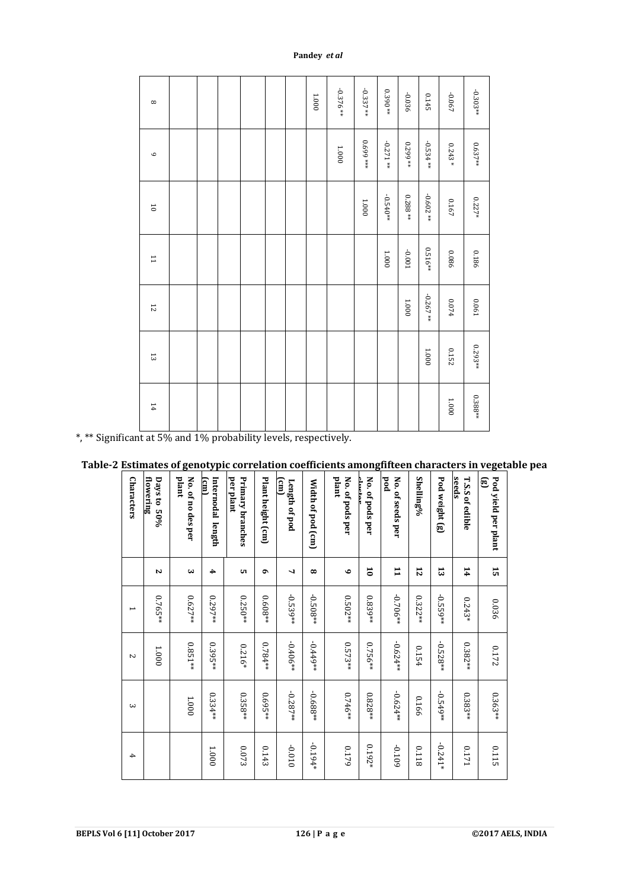| $^{\circ}$              |  |  |  | $1.000\,$ | $-0.376**$ | $-0.337**$ | $0.390**$  | $-0.036$  | 0.145      | -0.067    | $-0.303**$ |
|-------------------------|--|--|--|-----------|------------|------------|------------|-----------|------------|-----------|------------|
| $\circ$                 |  |  |  |           | $1.000\,$  | 0.699 ***  | $-0.271**$ | $0.299**$ | $-0.534**$ | $0.243*$  | $0.637**$  |
| $\overline{\mathbf{0}}$ |  |  |  |           |            | 1.000      | $-0.540**$ | $0.288**$ | $-0.602**$ | $0.167\,$ | $0.227*$   |
| $\overline{1}$          |  |  |  |           |            |            | $1.000\,$  | $100.0-$  | $0.516**$  | 980'0     | 0.186      |
| 12                      |  |  |  |           |            |            |            | 1.000     | $-0.267**$ | $0.074\,$ | 0.061      |
| 53                      |  |  |  |           |            |            |            |           | $1.000\,$  | 0.152     | $0.293**$  |
| 14                      |  |  |  |           |            |            |            |           |            | $1.000\,$ | $0.388**$  |

\*, \*\* Significant at 5% and 1% probability levels, respectively.

# **Table-2 Estimates of genotypic correlation coefficients amongfifteen characters in vegetable pea**

| <b>Characters</b> | flowering<br>Days to 50%<br>Z | plant<br>No. of no des per<br>دى | (cm)<br>Internodal length<br>4 | per plant<br>Primary branches<br>cп | Plant height (cm)<br>۰ | $\Xi$<br>Length of pod<br>$\overline{ }$ | Width of pod (cm)<br>$\infty$ | plant<br>No. of pods per<br>$\bullet$ | حاءمنناء<br>No. of pods per<br>$\overline{\mathbf{c}}$ | $_{\rm pod}$<br>No. of seeds per<br>$\mathbf{I}$ | Shelling%<br>12 | Pod weight (g)<br>ದ | seeds<br><b>T.S.S of edible</b><br>14 | ම<br>Pod yield per plant<br>15 |
|-------------------|-------------------------------|----------------------------------|--------------------------------|-------------------------------------|------------------------|------------------------------------------|-------------------------------|---------------------------------------|--------------------------------------------------------|--------------------------------------------------|-----------------|---------------------|---------------------------------------|--------------------------------|
| ⊢                 | $0.765**$                     | $0.627**$                        | 0.297**                        | $0.250**$                           | 0.608**                | $-0.539**$                               | $-0.508**$                    | $0.502***$                            | 0.839**                                                | $-0.706**$                                       | $0.322**$       | $-0.559**$          | $0.243*$                              | 0.036                          |
| $\overline{C}$    | 1.000                         | $0.851**$                        | $0.395***$                     | $0.216*$                            | 0.784**                | $-0.406**$                               | -0.449**                      | $0.573**$                             | $0.756**$                                              | $-0.624**$                                       | 0.154           | $-0.528**$          | 0.382**                               | 0.172                          |
| $\omega$          |                               | 1.000                            | 0.334**                        | $0.358**$                           | 0.695**                | $-0.287**$                               | -0.688**                      | $0.746**$                             | $0.828**$                                              | $-0.624**$                                       | 0.166           | $-0.549**$          | 0.383**                               | 0.363**                        |
| 4                 |                               |                                  | 1.000                          | $0.073\,$                           | 0.143                  | $-0.010$                                 | -0.194*                       | 0.179                                 | $0.192*$                                               | 6010-                                            | 8110            | $-0.241*$           | 0.171                                 | 0.115                          |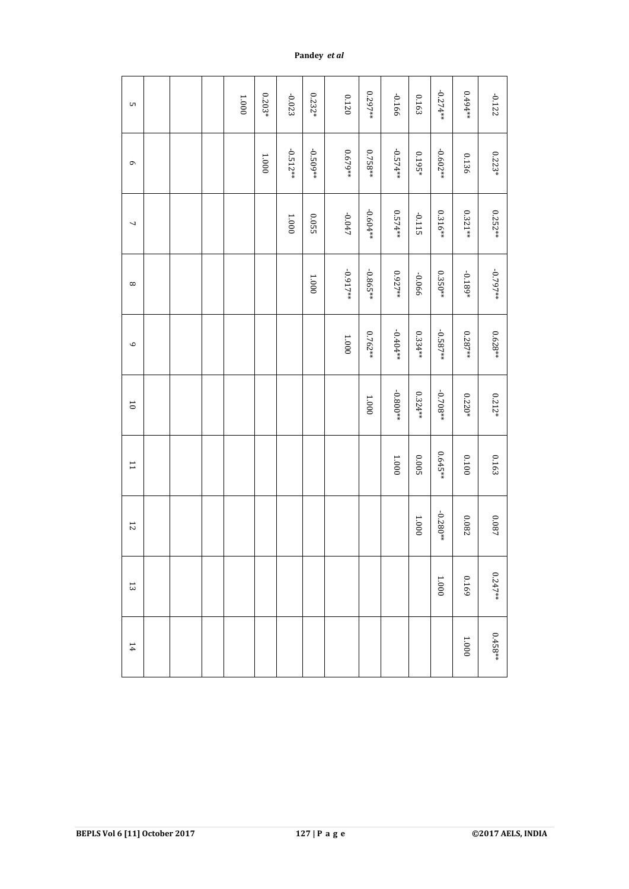| UТ             |  | $1.000\,$ | $0.203*$  | $-0.023$   | $0.232*$   | 0.120      | 1297**     | -0.166     | 0.163     | $-0.274**$ | **494**   | $-0.122$             |
|----------------|--|-----------|-----------|------------|------------|------------|------------|------------|-----------|------------|-----------|----------------------|
| $\circ$        |  |           | $1.000\,$ | $-0.512**$ | $-0.509**$ | $0.679**$  | $0.758**$  | $-0.574**$ | $0.195*$  | $-0.602**$ | 0.136     | $0.223*$             |
| 7              |  |           |           | 1.000      | 20.05      | $-0.047$   | $-0.604**$ | 0.574**    | -0.115    | 0.316 **   | $0.321**$ | $0.252**$            |
| $^{\circ}$     |  |           |           |            | $1.000\,$  | $-0.917**$ | $-0.865**$ | 0.927**    | -0.066    | $0.350**$  | $-0.189*$ | **297**              |
| $\circ$        |  |           |           |            |            | $1.000\,$  | $0.762**$  | $-0.404**$ | $0.334**$ | $-0.587**$ | $0.287**$ | $0.628**$            |
| $\overline{0}$ |  |           |           |            |            |            | 1.000      | $-0.800**$ | $0.324**$ | $-0.708**$ | $0.220*$  | $0.212*$             |
| $\overline{1}$ |  |           |           |            |            |            |            | $1.000\,$  | 5000      | $0.645**$  | 0010      | 0.163                |
| $\overline{5}$ |  |           |           |            |            |            |            |            | $1.000\,$ | $-0.280**$ | 780'0     | $\boldsymbol{0.087}$ |
| $\overline{3}$ |  |           |           |            |            |            |            |            |           | $1.000\,$  | 0.169     | $0.247**$            |
| 14             |  |           |           |            |            |            |            |            |           |            | $1.000\,$ | $0.458**$            |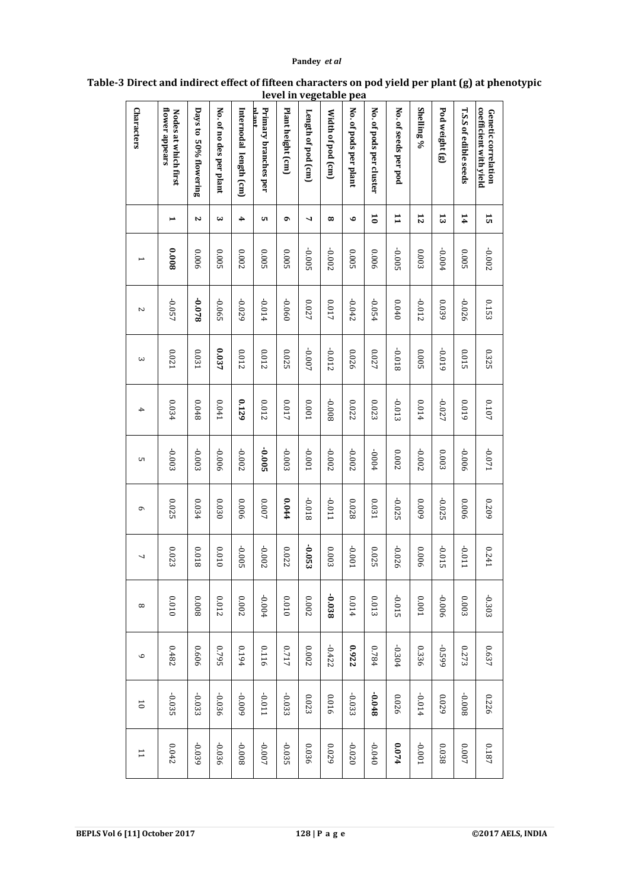| coefficient with yield<br>Genetic correlation | 15                      | -0.002       | 0.153  | 0.325    | 7010     | $120.0$ -    | 6070     | 0.241    | $-0.303$     | 0.637        | 0.226          | $0.187\,$      |
|-----------------------------------------------|-------------------------|--------------|--------|----------|----------|--------------|----------|----------|--------------|--------------|----------------|----------------|
| <b>T.S.S of edible seeds</b>                  | 14                      | 0.005        | -0.026 | 0.015    | 6100     | -0.006       | 900'0    | 110'0-   | 0.003        | 0.273        | 800'0-         | $0.007$        |
| Pod weight (g)                                | 13                      | $-0.004$     | 0.039  | -0.019   | -0.027   | 0.003        | $-0.025$ | -0.015   | 900'0-       | -0.599       | 0.029          | 0.038          |
| Shelling %                                    | $\overline{5}$          | 0.003        | -0.012 | 5000     | 410.0    | -0.002       | 600'0    | 900'0    | <b>0.001</b> | 0.336        | 410.0-         | $1000 -$       |
| No. of seeds per pod                          | $\mathbf{I}$            | -0.005       | 0.040  | 8100-    | $-0.013$ | <b>200°0</b> | $-0.025$ | -0.026   | -0.015       | $-0.304$     | 0.026          | 0.074          |
| No. of pods per cluster                       | $\overline{\mathbf{c}}$ | 900'0        | -0.054 | 0.027    | 0.023    | +000-        | 0.031    | 0.025    | 0.013        | 0.784        | $8*0.048$      | $-0.040$       |
| No. of pods per plant                         | ۰                       | 0.005        | -0.042 | 0.026    | 0.022    | -0.002       | 82000    | 1000-    | 0.014        | 0.922        | $-0.033$       | $-0.020$       |
| Width of pod (cm)                             | $\infty$                | -0.002       | 710.0  | -0.012   | 800'0-   | $-0.002$     | 110'0-   | 0.003    | -0.038       | $-0.422$     | 0.016          | 0.029          |
| Length of pod (cm)                            | ┙                       | $-0.005$     | 0.027  | -0.007   | 1000     | -0.001       | 81010-   | -0.053   | 0.002        | <b>0.002</b> | 0.023          | 0.036          |
| Plant height (cm)                             | ۰                       | 0.005        | -0.060 | 0.025    | 710.0    | -0.003       | 440.0    | 0.022    | 00010        | 7170         | $-0.033$       | $-0.035$       |
| mant<br>Primary branches per                  | cл                      | <b>0.005</b> | 410.0- | 0.012    | 0.012    | $-0.005$     | 700.0    | $-0.002$ | +0.004       | 0.116        | 110.0-         | $-0.007$       |
| Internodal length (cm)                        | 4                       | 7000         | -0.029 | 2100     | 0.129    | $-0.002$     | 900°0    | -0.005   | <b>0.002</b> | 0.194        | 600'0-         | 800'0-         |
| No. of no des per plant                       | ω                       | 0.005        | -0.065 | 0.037    | 170'0    | -0.006       | 0.030    | 010'0    | 20012        | 2620         | -0.036         | -0.036         |
| Days to 50% flowering                         | Z                       | 900'0        | 820.0- | 0.031    | 8+00     | $-0.003$     | 0.034    | 810.0    | 8000         | 9090         | $-0.033$       | -0.039         |
| flower appears<br>Nodes at which first        | ⊨                       | 800°0        | -0.057 | 0.021    | 0.034    | -0.003       | 0.025    | 0.023    | 00010        | 0.482        | $-0.035$       | 0.042          |
| Characters                                    |                         |              | $\sim$ | $\omega$ | 4        | UΠ           | G        | ┙        | $^{\circ}$   | $\circ$      | $\overline{0}$ | $\overline{1}$ |

## **Table-3 Direct and indirect effect of fifteen characters on pod yield per plant (g) at phenotypic level in vegetable pea**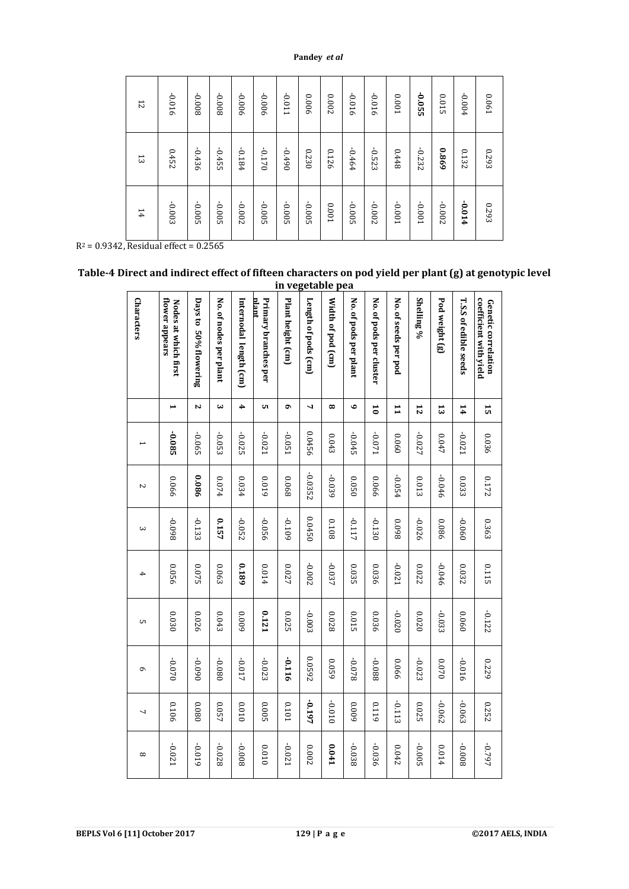| 14       | 13       | 12       |
|----------|----------|----------|
| -0.003   | 0.452    | -0.016   |
| $-0.005$ | -0.436   | 800'0-   |
| -0.005   | $-0.455$ | 800'0-   |
| -0.002   | -0.184   | 900'0-   |
| -0.005   | $-0.170$ | 900'0-   |
| -0.005   | $06f0 -$ | 1100-    |
| -0.005   | 0230     | 9000     |
| 1000     | 0.126    | 0.002    |
| -0.005   | -0.464   | -0.016   |
| -0.002   | $-0.523$ | -0.016   |
| 1000-    | 8448     | 0.001    |
| 1000-    | $-0.232$ | $-0.055$ |
| -0.002   | 698.0    | 0.015    |
| +10.0-   | 0.132    | $-0.004$ |
| 0.293    | 8620     | 0.061    |

**Table-4 Direct and indirect effect of fifteen characters on pod yield per plant (g) at genotypic level in vegetable pea**

|                                                                                                                                                    | 12                | 910                                    | 800                      | 800                    | 900                    | 900'                          | 011               | 900                 | <b>002</b>        | 016                   | 016                     | L <sub>00</sub>      | $\frac{50}{25}$ | <b>015</b>     | 004                          | <b>061</b>                                    |  |
|----------------------------------------------------------------------------------------------------------------------------------------------------|-------------------|----------------------------------------|--------------------------|------------------------|------------------------|-------------------------------|-------------------|---------------------|-------------------|-----------------------|-------------------------|----------------------|-----------------|----------------|------------------------------|-----------------------------------------------|--|
|                                                                                                                                                    | 13                | 0.452                                  | $-0.436$                 | $-0.455$               | -0.184                 | $-0.170$                      | $06f0 -$          | 0230                | 0.126             | -0.464                | $-0.523$                | 8448                 | $-0.232$        | 698'0          | 0.132                        | 6293                                          |  |
|                                                                                                                                                    | 14                | -0.003                                 | $500^{\circ}$            | -0.005                 | -0.002                 | -0.005                        | -0.005            | -0.005              | 100'0             | -0.005                | -0.002                  | $100.01$             | 1000-           | -0.002         | +10.0-                       | 0.293                                         |  |
| $R^2 = 0.9342$ , Residual effect = 0.2565<br>Table-4 Direct and indirect effect of fifteen characters on pod yield per plant (g) at genotypic leve |                   |                                        |                          |                        |                        |                               |                   |                     | in vegetable pea  |                       |                         |                      |                 |                |                              |                                               |  |
|                                                                                                                                                    | <b>Characters</b> | flower appears<br>Nodes at which first | Days to<br>50% flowering | No. of nodes per plant | Internodal length (cm) | nlant<br>Primary branches per | Plant height (cm) | Length of pods (cm) | Width of pod (cm) | No. of pods per plant | No. of pods per cluster | No. of seeds per pod | Shelling %      | Pod weight (g) | <b>T.S.S of edible seeds</b> | coefficient with yield<br>Genetic correlation |  |
|                                                                                                                                                    |                   | $\blacktriangleright$                  | $\sim$                   | دى                     | 4                      | <b>u</b>                      | Ó                 | 4                   | $^{\circ}$        | $\bullet$             | $\overline{\mathbf{c}}$ | $\mathbf{1}$         | 12              | $\mathfrak{r}$ | 14                           | 15                                            |  |
|                                                                                                                                                    |                   | -0.085                                 | -0.065                   | $-0.053$               | $-0.025$               | -0.021                        | -0.051            | 0.0456              | 0.043             | $-0.045$              | 120'0-                  | 090'0                | -0.027          | 0.047          | $-0.021$                     | 0.036                                         |  |
|                                                                                                                                                    | $\sim$            | 990'0                                  | 9800                     | 0.074                  | 0.034                  | 6100                          | 890'0             | -0.0352             | -0.039            | 0500                  | 990'0                   | $-0.054$             | 0.013           | -0.046         | 0.033                        | 0.172                                         |  |
|                                                                                                                                                    | $\mathbf{\omega}$ | 860'0-                                 | $-0.133$                 | 0.157                  | $-0.052$               | -0.056                        | -0.109            | 0.0450              | 8010              | -0.117                | $-0.130$                | 860'0                | $-0.026$        | 980'0          | 090'0-                       | 0.363                                         |  |
|                                                                                                                                                    |                   | 0.056                                  | 0.075                    | 0.063                  | 6810                   | 410.0                         | 0.027             | -0.002              | $-0.037$          | 0.035                 | 0.036                   | $-0.021$             | 0.022           | -0.046         | 0.032                        | 0.115                                         |  |
|                                                                                                                                                    | cл                | 0.030                                  | 0.026                    | 0.043                  | 6000                   | 0.121                         | 0.025             | -0.003              | 8700              | <b>0.015</b>          | 0.036                   | $-0.020$             | 0200            | $-0.033$       | 090'0                        | $-0.122$                                      |  |
|                                                                                                                                                    | $\sigma$          | $0.010$                                | 060'0-                   | 080'0-                 | -0.017                 | $-0.023$                      | -0.116            | 0.0592              | 6200              | 820.0-                | -0.088                  | 990'0                | $-0.023$        | 0.070          | -0.016                       | 6ZZ0                                          |  |
|                                                                                                                                                    | 7                 | 0.106                                  | 080'0                    | 750.0                  | 0100                   | 5000                          | 1010              | -0.197              | $-0.010$          | 6000                  | 6110                    | $-0.113$             | 0.025           | -0.062         | -0.063                       | 0.252                                         |  |
|                                                                                                                                                    | $^{\circ}$        | -0.021                                 | 610'0-                   | -0.028                 | 800'0-                 | 010'0                         | -0.021            | $0.002$             | 10.041            | -0.038                | -0.036                  | $0.042\,$            | -0.005          | 410.0          | 800'0-                       | -0.797                                        |  |
| <b>BEPLS Vol 6 [11] October 2017</b>                                                                                                               |                   |                                        |                          |                        |                        |                               |                   |                     | 129   P a g e     |                       |                         |                      |                 |                |                              | ©2017 AELS, INDIA                             |  |